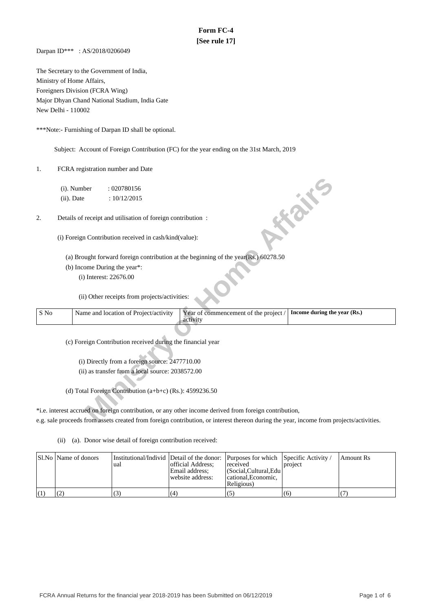# **Form FC-4 [See rule 17]**

Darpan ID\*\*\* : AS/2018/0206049

The Secretary to the Government of India, Ministry of Home Affairs, Foreigners Division (FCRA Wing) Major Dhyan Chand National Stadium, India Gate New Delhi - 110002

\*\*\*Note:- Furnishing of Darpan ID shall be optional.

Subject: Account of Foreign Contribution (FC) for the year ending on the 31st March, 2019

1. FCRA registration number and Date

|      | (i). Number   |                          | : 020780156                                                 |                                                                                                                                         |                              |
|------|---------------|--------------------------|-------------------------------------------------------------|-----------------------------------------------------------------------------------------------------------------------------------------|------------------------------|
|      | $(ii)$ . Date |                          | : 10/12/2015                                                |                                                                                                                                         |                              |
| 2.   |               |                          | Details of receipt and utilisation of foreign contribution: |                                                                                                                                         | <b>FORE</b>                  |
|      |               |                          | (i) Foreign Contribution received in cash/kind(value):      |                                                                                                                                         |                              |
|      |               |                          |                                                             | (a) Brought forward foreign contribution at the beginning of the year $(Rs.)$ 60278.50                                                  |                              |
|      |               |                          | (b) Income During the year*:                                |                                                                                                                                         |                              |
|      |               | $(i)$ Interest: 22676.00 |                                                             |                                                                                                                                         |                              |
|      |               |                          | (ii) Other receipts from projects/activities:               |                                                                                                                                         |                              |
| S No |               |                          | Name and location of Project/activity                       | Year of commencement of the project /<br>activity                                                                                       | Income during the year (Rs.) |
|      |               |                          | (c) Foreign Contribution received during the financial year |                                                                                                                                         |                              |
|      |               |                          |                                                             |                                                                                                                                         |                              |
|      |               |                          | (i) Directly from a foreign source: 2477710.00              |                                                                                                                                         |                              |
|      |               |                          | (ii) as transfer from a local source: 2038572.00            |                                                                                                                                         |                              |
|      |               |                          |                                                             |                                                                                                                                         |                              |
|      |               |                          | (d) Total Foreign Contribution $(a+b+c)$ (Rs.): 4599236.50  |                                                                                                                                         |                              |
|      |               |                          |                                                             | *i.e. interest accrued on foreign contribution, or any other income derived from foreign contribution,                                  |                              |
|      |               |                          |                                                             | e.g. sale proceeds from assets created from foreign contribution, or interest thereon during the year, income from projects/activities. |                              |

(ii) (a). Donor wise detail of foreign contribution received:

|  | Sl.No   Name of donors | ual | Institutional/Individ Detail of the donor: Purposes for which Specific Activity /<br>official Address:<br>Email address:<br>website address: | received<br>  (Social.Cultural.Edu)<br>cational.Economic.<br>Religious) | project | <b>LAmount Rs</b> |
|--|------------------------|-----|----------------------------------------------------------------------------------------------------------------------------------------------|-------------------------------------------------------------------------|---------|-------------------|
|  |                        |     | (4)                                                                                                                                          |                                                                         | (6)     |                   |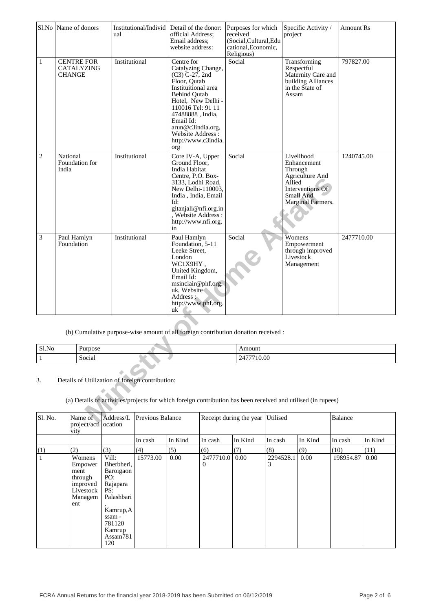|                       |                   | Sl.No Name of donors            | ual                               | Institutional/Individ Detail of the donor:      | official Address;<br>Email address;<br>website address:                                                                                                                                                                                                                  | Purposes for which<br>received<br>(Social, Cultural, Edu<br>cational, Economic,<br>Religious) |          | Specific Activity /<br>project                                                                                          | <b>Amount Rs</b> |
|-----------------------|-------------------|---------------------------------|-----------------------------------|-------------------------------------------------|--------------------------------------------------------------------------------------------------------------------------------------------------------------------------------------------------------------------------------------------------------------------------|-----------------------------------------------------------------------------------------------|----------|-------------------------------------------------------------------------------------------------------------------------|------------------|
| 1                     | <b>CHANGE</b>     | <b>CENTRE FOR</b><br>CATALYZING | Institutional                     |                                                 | Centre for<br>Catalyzing Change,<br>$(C3)$ $C-27$ , 2nd<br>Floor, Qutab<br>Instituitional area<br><b>Behind Outab</b><br>Hotel, New Delhi -<br>110016 Tel: 91 11<br>47488888, India,<br>Email Id:<br>arun@c3india.org,<br>Website Address:<br>http://www.c3india.<br>org | Social                                                                                        |          | Transforming<br>Respectful<br>Maternity Care and<br>building Alliances<br>in the State of<br>Assam                      | 797827.00        |
| $\overline{c}$        | National<br>India | Foundation for                  | Institutional                     |                                                 | Core IV-A, Upper<br>Ground Floor.<br>India Habitat<br>Centre, P.O. Box-<br>3133. Lodhi Road.<br>New Delhi-110003,<br>India, India, Email<br>Id:<br>gitanjali@nfi.org.in<br>, Website Address :<br>http://www.nfi.org.<br>in                                              | Social                                                                                        |          | Livelihood<br>Enhancement<br>Through<br>Agriculture And<br>Allied<br>Interventions Of<br>Small And<br>Marginal Farmers. | 1240745.00       |
| 3                     | Foundation        | Paul Hamlyn                     | Institutional                     |                                                 | Paul Hamlyn<br>Foundation, 5-11<br>Leeke Street,<br>London<br>WC1X9HY,<br>United Kingdom,<br>Email Id:<br>msinclair@phf.org.<br>uk, Website<br>Address:<br>http://www.phf.org.<br>uk                                                                                     | Social                                                                                        |          | Womens<br>Empowerment<br>through improved<br>Livestock<br>Management                                                    | 2477710.00       |
|                       |                   |                                 |                                   |                                                 |                                                                                                                                                                                                                                                                          |                                                                                               |          |                                                                                                                         |                  |
|                       |                   |                                 |                                   |                                                 |                                                                                                                                                                                                                                                                          | (b) Cumulative purpose-wise amount of all foreign contribution donation received :            |          |                                                                                                                         |                  |
| Sl.No<br>$\mathbf{1}$ |                   | Purpose<br>Social               |                                   |                                                 |                                                                                                                                                                                                                                                                          | Amount<br>2477710.00                                                                          |          |                                                                                                                         |                  |
|                       |                   |                                 |                                   |                                                 |                                                                                                                                                                                                                                                                          |                                                                                               |          |                                                                                                                         |                  |
| 3.                    |                   |                                 |                                   | Details of Utilization of foreign contribution: |                                                                                                                                                                                                                                                                          |                                                                                               |          |                                                                                                                         |                  |
|                       |                   |                                 |                                   |                                                 |                                                                                                                                                                                                                                                                          |                                                                                               |          | (a) Details of activities/projects for which foreign contribution has been received and utilised (in rupees)            |                  |
| Sl. No.               |                   | Name of                         | $\mathop{\rm Address}\nolimits/L$ | Previous Balance                                |                                                                                                                                                                                                                                                                          | Receipt during the year                                                                       | Utilised |                                                                                                                         | Balance          |

| Sl.No | Purpose          | Amount              |
|-------|------------------|---------------------|
|       | $\sim$<br>Social | $\sim$<br>J.V'<br>. |

| Sl. No. | Name of<br>project/acti ocation<br>vity                                         | Address/L                                                                                                                              | Previous Balance |         |                | Receipt during the year Utilised |                |         | Balance   |         |
|---------|---------------------------------------------------------------------------------|----------------------------------------------------------------------------------------------------------------------------------------|------------------|---------|----------------|----------------------------------|----------------|---------|-----------|---------|
|         |                                                                                 |                                                                                                                                        | In cash          | In Kind | In cash        | In Kind                          | In cash        | In Kind | In cash   | In Kind |
| (1)     | (2)                                                                             | (3)                                                                                                                                    | (4)              | (5)     | (6)            | (7)                              | (8)            | (9)     | (10)      | (11)    |
|         | Womens<br>Empower<br>ment<br>through<br>improved<br>Livestock<br>Managem<br>ent | Vill:<br>Bherbheri,<br>Baroigaon<br>PO:<br>Rajapara<br>PS:<br>Palashbari<br>Kamrup, A<br>ssam -<br>781120<br>Kamrup<br>Assam781<br>120 | 15773.00         | 0.00    | 2477710.0<br>0 | 0.00                             | 2294528.1<br>3 | 0.00    | 198954.87 | 0.00    |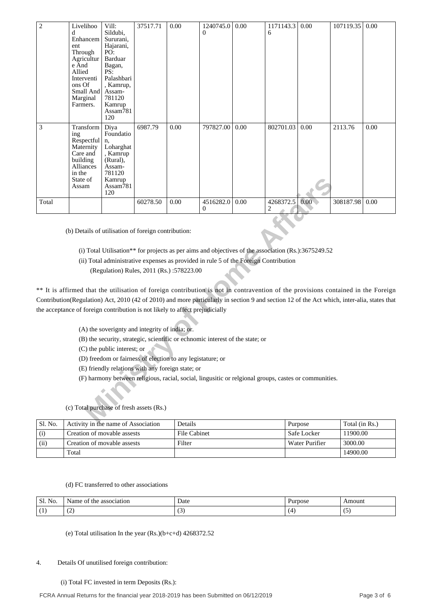| $\overline{2}$ | Livelihoo<br>d<br>Enhancem<br>ent<br>Through<br>Agricultur<br>e And<br>Allied<br>Interventi<br>ons Of<br>Small And<br>Marginal<br>Farmers.                                                                                                                                                                                                                                                                                                                                                                                                                                                                                                                                                                                                                                                                                                                                                                                                                                                                                                                                                                              | Vill:<br>Sildubi,<br>Sururani,<br>Hajarani,<br>PO:<br>Barduar<br>Bagan,<br>$PS_{\cdot}$<br>Palashbari<br>, Kamrup,<br>Assam-<br>781120<br>Kamrup<br>Assam781<br>120 | 37517.71 | 0.00                | 1240745.0<br>0 | 0.00 | 1171143.3<br>6 | 0.00           | 107119.35      | 0.00 |
|----------------|-------------------------------------------------------------------------------------------------------------------------------------------------------------------------------------------------------------------------------------------------------------------------------------------------------------------------------------------------------------------------------------------------------------------------------------------------------------------------------------------------------------------------------------------------------------------------------------------------------------------------------------------------------------------------------------------------------------------------------------------------------------------------------------------------------------------------------------------------------------------------------------------------------------------------------------------------------------------------------------------------------------------------------------------------------------------------------------------------------------------------|---------------------------------------------------------------------------------------------------------------------------------------------------------------------|----------|---------------------|----------------|------|----------------|----------------|----------------|------|
| 3              | Transform<br>ing<br>Respectful<br>Maternity<br>Care and<br>building<br>Alliances<br>in the<br>State of<br>Assam                                                                                                                                                                                                                                                                                                                                                                                                                                                                                                                                                                                                                                                                                                                                                                                                                                                                                                                                                                                                         | Diya<br>Foundatio<br>n,<br>Loharghat<br>, Kamrup<br>(Rural),<br>Assam-<br>781120<br>Kamrup<br>Assam781<br>120                                                       | 6987.79  | 0.00                | 797827.00      | 0.00 | 802701.03      | 0.00           | 2113.76        | 0.00 |
| Total          |                                                                                                                                                                                                                                                                                                                                                                                                                                                                                                                                                                                                                                                                                                                                                                                                                                                                                                                                                                                                                                                                                                                         |                                                                                                                                                                     | 60278.50 | 0.00                | 4516282.0      | 0.00 | 4268372.5      | 0.00<          | 308187.98      | 0.00 |
|                |                                                                                                                                                                                                                                                                                                                                                                                                                                                                                                                                                                                                                                                                                                                                                                                                                                                                                                                                                                                                                                                                                                                         |                                                                                                                                                                     |          |                     | 0              |      | 2              |                |                |      |
|                | (b) Details of utilisation of foreign contribution:<br>(i) Total Utilisation** for projects as per aims and objectives of the association (Rs.):3675249.52<br>(ii) Total administrative expenses as provided in rule 5 of the Foreign Contribution<br>(Regulation) Rules, 2011 (Rs.):578223.00<br>** It is affirmed that the utilisation of foreign contribution is not in contravention of the provisions contained in the Foreign<br>Contribution(Regulation) Act, 2010 (42 of 2010) and more particularly in section 9 and section 12 of the Act which, inter-alia, states that<br>the acceptance of foreign contribution is not likely to affect prejudicially<br>(A) the soverignty and integrity of india; or.<br>(B) the security, strategic, scientific or echnomic interest of the state; or<br>(C) the public interest; or $\sqrt{ }$<br>(D) freedom or fairness of election to any legistature; or<br>(E) friendly relations with any foreign state; or<br>(F) harmony between religious, racial, social, lingusitic or relgional groups, castes or communities.<br>(c) Total purchase of fresh assets (Rs.) |                                                                                                                                                                     |          |                     |                |      |                |                |                |      |
| Sl. No.        | Activity in the name of Association                                                                                                                                                                                                                                                                                                                                                                                                                                                                                                                                                                                                                                                                                                                                                                                                                                                                                                                                                                                                                                                                                     |                                                                                                                                                                     |          | Details             |                |      |                | Purpose        | Total (in Rs.) |      |
| (i)            | Creation of movable assests                                                                                                                                                                                                                                                                                                                                                                                                                                                                                                                                                                                                                                                                                                                                                                                                                                                                                                                                                                                                                                                                                             |                                                                                                                                                                     |          | <b>File Cabinet</b> |                |      |                | Safe Locker    | 11900.00       |      |
| (ii)           | Creation of movable assests                                                                                                                                                                                                                                                                                                                                                                                                                                                                                                                                                                                                                                                                                                                                                                                                                                                                                                                                                                                                                                                                                             |                                                                                                                                                                     |          | Filter              |                |      |                | Water Purifier | 3000.00        |      |
|                | Total                                                                                                                                                                                                                                                                                                                                                                                                                                                                                                                                                                                                                                                                                                                                                                                                                                                                                                                                                                                                                                                                                                                   |                                                                                                                                                                     |          |                     |                |      |                |                | 14900.00       |      |
|                | (d) FC transferred to other associations                                                                                                                                                                                                                                                                                                                                                                                                                                                                                                                                                                                                                                                                                                                                                                                                                                                                                                                                                                                                                                                                                |                                                                                                                                                                     |          |                     |                |      |                |                |                |      |
| Sl. No.        | Name of the association                                                                                                                                                                                                                                                                                                                                                                                                                                                                                                                                                                                                                                                                                                                                                                                                                                                                                                                                                                                                                                                                                                 |                                                                                                                                                                     |          | Date                |                |      |                | Purpose        | Amount         |      |
| (1)            | (2)                                                                                                                                                                                                                                                                                                                                                                                                                                                                                                                                                                                                                                                                                                                                                                                                                                                                                                                                                                                                                                                                                                                     |                                                                                                                                                                     |          | (3)                 |                |      | (4)            |                | (5)            |      |
| 4.             | (e) Total utilisation In the year $(Rs.(b+c+d) 4268372.52)$<br>Details Of unutilised foreign contribution:<br>(i) Total FC invested in term Deposits (Rs.):                                                                                                                                                                                                                                                                                                                                                                                                                                                                                                                                                                                                                                                                                                                                                                                                                                                                                                                                                             |                                                                                                                                                                     |          |                     |                |      |                |                |                |      |

- (ii) Total administrative expenses as provided in rule 5 of the Foreign Contribution
	- (Regulation) Rules, 2011 (Rs.) :578223.00

## (c) Total purchase of fresh assets (Rs.)

| Sl. No. | Activity in the name of Association | Details      | Purpose        | Total (in Rs.) |
|---------|-------------------------------------|--------------|----------------|----------------|
| (i)     | Creation of movable assests         | File Cabinet | Safe Locker    | 1900.00        |
| (ii)    | Creation of movable assests         | Filter       | Water Purifier | 3000.00        |
|         | Total                               |              |                | 14900.00       |

## (d) FC transferred to other associations

| Sl.<br>$\mathbf{r}$<br>No. | $\sqrt{am}$<br>association<br>ıe<br>OТ<br>me | Date                     | <b>TEDOSE</b><br>u | Amount  |
|----------------------------|----------------------------------------------|--------------------------|--------------------|---------|
| (1)                        | $\sim$<br>. <u>.</u>                         | $\overline{\phantom{a}}$ | $\prime$           | $\cdot$ |

# (e) Total utilisation In the year  $(Rs.)(b+c+d)$  4268372.52

## 4. Details Of unutilised foreign contribution: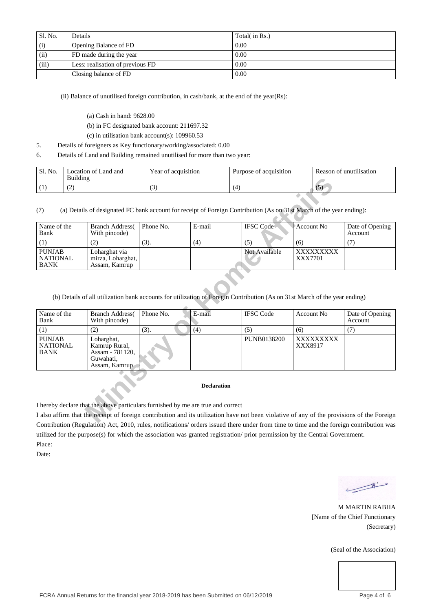| Sl. No. | Details                          | Total( in Rs.) |
|---------|----------------------------------|----------------|
| (i)     | Opening Balance of FD            | 0.00           |
| (ii)    | FD made during the year          | 0.00           |
| (iii)   | Less: realisation of previous FD | 0.00           |
|         | Closing balance of FD            | 0.00           |

(ii) Balance of unutilised foreign contribution, in cash/bank, at the end of the year(Rs):

- (a) Cash in hand: 9628.00
- (b) in FC designated bank account: 211697.32
- (c) in utilisation bank account(s): 109960.53
- 5. Details of foreigners as Key functionary/working/associated: 0.00
- 6. Details of Land and Building remained unutilised for more than two year:

| Sl. No. | Location of Land and<br>Building | Year of acquisition | Purpose of acquisition | Reason of unutilisation |
|---------|----------------------------------|---------------------|------------------------|-------------------------|
|         | $\sqrt{2}$<br>ے                  | $\sim$<br>$\sim$    |                        | $\cup$                  |

| Name of the<br>Bank                             | <b>Branch Address</b><br>With pincode)              | Phone No. | E-mail | <b>IFSC</b> Code | ⊕Account No          | Date of Opening<br>Account |
|-------------------------------------------------|-----------------------------------------------------|-----------|--------|------------------|----------------------|----------------------------|
|                                                 |                                                     | (3).      | (4)    | (5)              | (6)                  |                            |
| <b>PUNJAB</b><br><b>NATIONAL</b><br><b>BANK</b> | Loharghat via<br>mirza, Loharghat,<br>Assam, Kamrup |           |        | Not Available    | XXXXXXXXX<br>XXX7701 |                            |

|                                                 | Building |                                                                                  |           |                    |                                                                                                                                                                                                                                                                                                                                                                                  |                             |                            |  |
|-------------------------------------------------|----------|----------------------------------------------------------------------------------|-----------|--------------------|----------------------------------------------------------------------------------------------------------------------------------------------------------------------------------------------------------------------------------------------------------------------------------------------------------------------------------------------------------------------------------|-----------------------------|----------------------------|--|
| (1)                                             | (2)      |                                                                                  | (3)       |                    | (4)                                                                                                                                                                                                                                                                                                                                                                              | (5)                         |                            |  |
| (7)                                             |          |                                                                                  |           |                    | (a) Details of designated FC bank account for receipt of Foreign Contribution (As on 31st March of the year ending):                                                                                                                                                                                                                                                             |                             |                            |  |
| Name of the<br>Bank                             |          | <b>Branch Address</b><br>With pincode)                                           | Phone No. | E-mail             | <b>IFSC</b> Code                                                                                                                                                                                                                                                                                                                                                                 | Account No                  | Date of Opening<br>Account |  |
| (1)                                             |          | (2)                                                                              | (3).      | (4)                | (5)                                                                                                                                                                                                                                                                                                                                                                              | (6)                         | (7)                        |  |
| <b>PUNJAB</b><br><b>NATIONAL</b><br><b>BANK</b> |          | Loharghat via<br>mirza, Loharghat,<br>Assam, Kamrup                              |           |                    | Not Available                                                                                                                                                                                                                                                                                                                                                                    | XXXXXXXXX<br><b>XXX7701</b> |                            |  |
| Name of the<br>Bank                             |          | <b>Branch Address</b><br>With pincode)                                           | Phone No. | E-mail             | (b) Details of all utilization bank accounts for utilization of Foregin Contribution (As on 31st March of the year ending)<br><b>IFSC Code</b>                                                                                                                                                                                                                                   | <b>Account No</b>           | Date of Opening<br>Account |  |
| (1)                                             |          | (2)                                                                              | (3).      | (4)                | (5)                                                                                                                                                                                                                                                                                                                                                                              | (6)                         | (7)                        |  |
| <b>PUNJAB</b><br><b>NATIONAL</b><br><b>BANK</b> |          | Loharghat,<br>Kamrup Rural,<br>Assam - 781120,<br>Guwahati.<br>Assam, Kamrup     |           |                    | PUNB0138200                                                                                                                                                                                                                                                                                                                                                                      | XXXXXXXXX<br>XXX8917        |                            |  |
|                                                 |          |                                                                                  |           | <b>Declaration</b> |                                                                                                                                                                                                                                                                                                                                                                                  |                             |                            |  |
|                                                 |          | I hereby declare that the above particulars furnished by me are true and correct |           |                    |                                                                                                                                                                                                                                                                                                                                                                                  |                             |                            |  |
|                                                 |          |                                                                                  |           |                    | I also affirm that the receipt of foreign contribution and its utilization have not been violative of any of the provisions of the Foreign<br>$\mathcal{L}$ . The contract of the contract of the contract of the contract of the contract of the contract of the contract of the contract of the contract of the contract of the contract of the contract of the contract of th |                             |                            |  |

# **Declaration**

I also affirm that the receipt of foreign contribution and its utilization have not been violative of any of the provisions of the Foreign Contribution (Regulation) Act, 2010, rules, notifications/ orders issued there under from time to time and the foreign contribution was utilized for the purpose(s) for which the association was granted registration/ prior permission by the Central Government. Place:

Date:

 $\begin{picture}(120,10) \put(0,0){\line(1,0){10}} \put(15,0){\line(1,0){10}} \put(15,0){\line(1,0){10}} \put(15,0){\line(1,0){10}} \put(15,0){\line(1,0){10}} \put(15,0){\line(1,0){10}} \put(15,0){\line(1,0){10}} \put(15,0){\line(1,0){10}} \put(15,0){\line(1,0){10}} \put(15,0){\line(1,0){10}} \put(15,0){\line(1,0){10}} \put(15,0){\line($ 

M MARTIN RABHA [Name of the Chief Functionary (Secretary)

(Seal of the Association)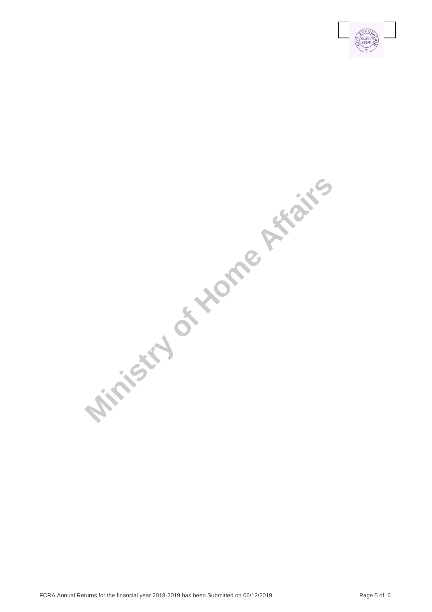

**Ministry of Home Affairs**